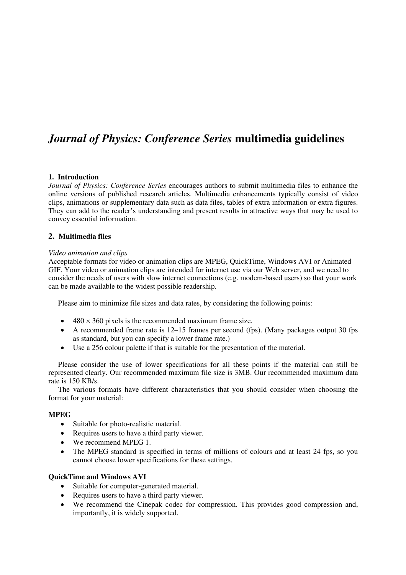# *Journal of Physics: Conference Series* **multimedia guidelines**

### **1. Introduction**

*Journal of Physics: Conference Series* encourages authors to submit multimedia files to enhance the online versions of published research articles. Multimedia enhancements typically consist of video clips, animations or supplementary data such as data files, tables of extra information or extra figures. They can add to the reader's understanding and present results in attractive ways that may be used to convey essential information.

### **2. Multimedia files**

### *Video animation and clips*

Acceptable formats for video or animation clips are MPEG, QuickTime, Windows AVI or Animated GIF. Your video or animation clips are intended for internet use via our Web server, and we need to consider the needs of users with slow internet connections (e.g. modem-based users) so that your work can be made available to the widest possible readership.

Please aim to minimize file sizes and data rates, by considering the following points:

- $480 \times 360$  pixels is the recommended maximum frame size.
- A recommended frame rate is 12–15 frames per second (fps). (Many packages output 30 fps as standard, but you can specify a lower frame rate.)
- Use a 256 colour palette if that is suitable for the presentation of the material.

Please consider the use of lower specifications for all these points if the material can still be represented clearly. Our recommended maximum file size is 3MB. Our recommended maximum data rate is 150 KB/s.

The various formats have different characteristics that you should consider when choosing the format for your material:

### **MPEG**

- Suitable for photo-realistic material.
- Requires users to have a third party viewer.
- We recommend MPEG 1.
- The MPEG standard is specified in terms of millions of colours and at least 24 fps, so you cannot choose lower specifications for these settings.

#### **QuickTime and Windows AVI**

- Suitable for computer-generated material.
- Requires users to have a third party viewer.
- We recommend the Cinepak codec for compression. This provides good compression and, importantly, it is widely supported.